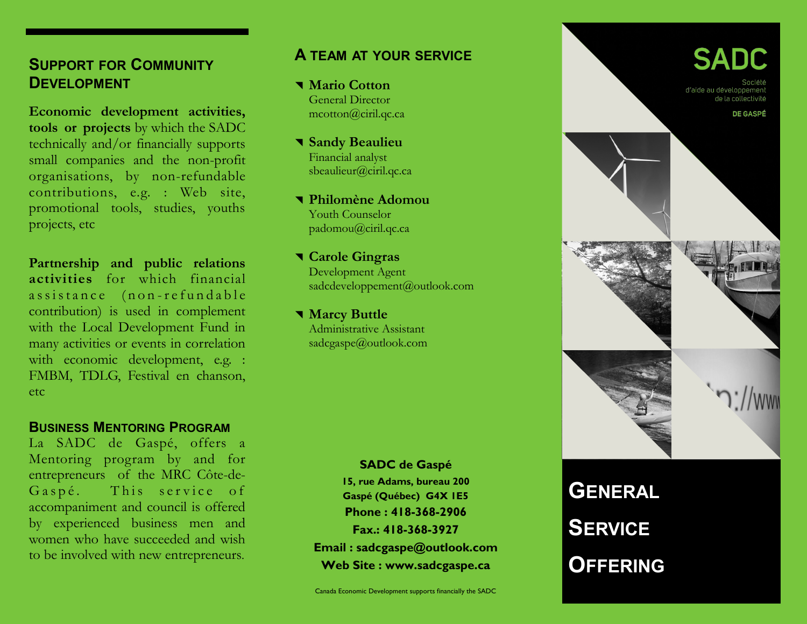# **SUPPORT FOR COMMUNITY DEVELOPMENT**

**Economic development activities, tools or projects** by which the SADC technically and/or financially supports small companies and the non-profit organisations, by non-refundable contributions, e.g. : Web site, promotional tools, studies, youths projects, etc

**Partnership and public relations activities** for which financial assistance (non-refundable contribution) is used in complement with the Local Development Fund in many activities or events in correlation with economic development, e.g. : FMBM, TDLG, Festival en chanson, etc

#### **BUSINESS MENTORING PROGRAM**

La SADC de Gaspé, offers a Mentoring program by and for entrepreneurs of the MRC Côte-de-Gaspé. This service of accompaniment and council is offered by experienced business men and women who have succeeded and wish to be involved with new entrepreneurs.

### **A TEAM AT YOUR SERVICE**

 **Mario Cotton** General Director mcotton@ciril.qc.ca

 **Sandy Beaulieu** Financial analyst sbeaulieur@ciril.qc.ca

 **Philomène Adomou** Youth Counselor padomou@ciril.qc.ca

 **Carole Gingras** Development Agent sadcdeveloppement@outlook.com

 **Marcy Buttle** Administrative Assistant sadcgaspe@outlook.com

> **SADC de Gaspé 15, rue Adams, bureau 200 Gaspé (Québec) G4X 1E5 Phone : 418-368-2906 Fax.: 418-368-3927 Email : sadcgaspe@outlook.com Web Site : www.sadcgaspe.ca**



**SERVICE OFFERING**